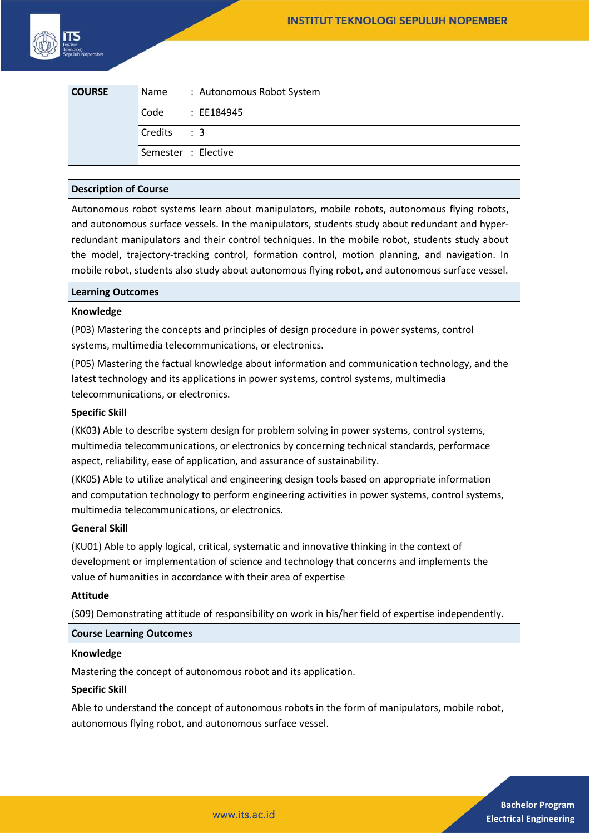| <b>COURSE</b> |             | Name: : Autonomous Robot System |
|---------------|-------------|---------------------------------|
|               | Code        | : EE184945                      |
|               | Credits : 3 |                                 |
|               |             | Semester : Elective             |

## **Description of Course**

Autonomous robot systems learn about manipulators, mobile robots, autonomous flying robots, and autonomous surface vessels. In the manipulators, students study about redundant and hyperredundant manipulators and their control techniques. In the mobile robot, students study about the model, trajectory-tracking control, formation control, motion planning, and navigation. In mobile robot, students also study about autonomous flying robot, and autonomous surface vessel.

#### **Learning Outcomes**

#### **Knowledge**

(P03) Mastering the concepts and principles of design procedure in power systems, control systems, multimedia telecommunications, or electronics.

(P05) Mastering the factual knowledge about information and communication technology, and the latest technology and its applications in power systems, control systems, multimedia telecommunications, or electronics.

#### **Specific Skill**

(KK03) Able to describe system design for problem solving in power systems, control systems, multimedia telecommunications, or electronics by concerning technical standards, performace aspect, reliability, ease of application, and assurance of sustainability.

(KK05) Able to utilize analytical and engineering design tools based on appropriate information and computation technology to perform engineering activities in power systems, control systems, multimedia telecommunications, or electronics.

# **General Skill**

(KU01) Able to apply logical, critical, systematic and innovative thinking in the context of development or implementation of science and technology that concerns and implements the value of humanities in accordance with their area of expertise

#### **Attitude**

(S09) Demonstrating attitude of responsibility on work in his/her field of expertise independently.

## **Course Learning Outcomes**

#### **Knowledge**

Mastering the concept of autonomous robot and its application.

#### **Specific Skill**

Able to understand the concept of autonomous robots in the form of manipulators, mobile robot, autonomous flying robot, and autonomous surface vessel.